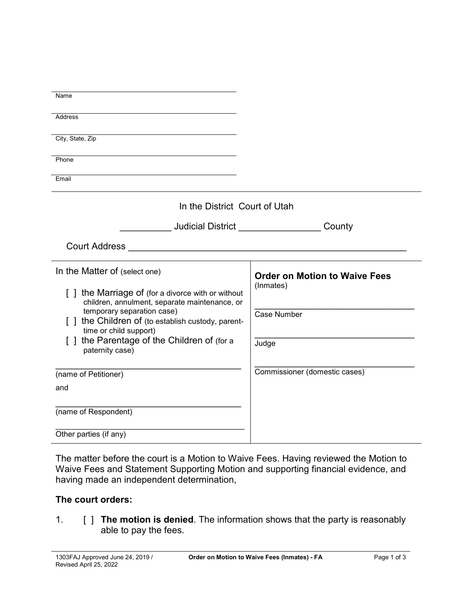| Name                                                                                               |                                      |  |
|----------------------------------------------------------------------------------------------------|--------------------------------------|--|
| <b>Address</b>                                                                                     |                                      |  |
| City, State, Zip                                                                                   |                                      |  |
| Phone                                                                                              |                                      |  |
| Email                                                                                              |                                      |  |
| In the District Court of Utah                                                                      |                                      |  |
| <b>Judicial District Contract Studies</b><br>County                                                |                                      |  |
| <b>Court Address</b>                                                                               |                                      |  |
| In the Matter of (select one)                                                                      | <b>Order on Motion to Waive Fees</b> |  |
| [] the Marriage of (for a divorce with or without<br>children, annulment, separate maintenance, or | (Inmates)                            |  |
| temporary separation case)<br>[] the Children of (to establish custody, parent-                    | <b>Case Number</b>                   |  |
| time or child support)<br>the Parentage of the Children of (for a                                  | Judge                                |  |
| paternity case)                                                                                    |                                      |  |
| (name of Petitioner)                                                                               | Commissioner (domestic cases)        |  |
| and                                                                                                |                                      |  |
| (name of Respondent)                                                                               |                                      |  |
| Other parties (if any)                                                                             |                                      |  |

The matter before the court is a Motion to Waive Fees. Having reviewed the Motion to Waive Fees and Statement Supporting Motion and supporting financial evidence, and having made an independent determination,

## **The court orders:**

1. [ ] **The motion is denied**. The information shows that the party is reasonably able to pay the fees.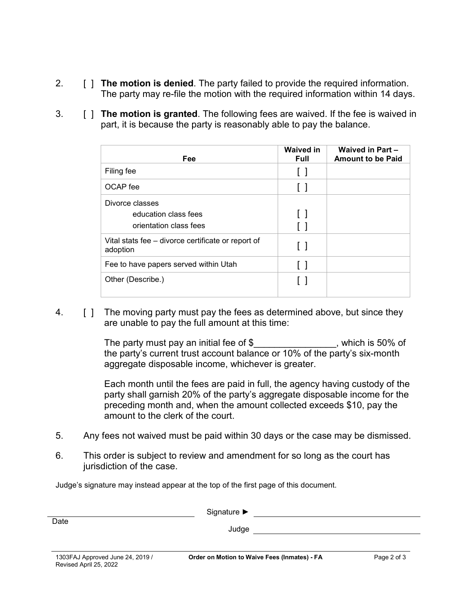- 2. [ ] **The motion is denied**. The party failed to provide the required information. The party may re-file the motion with the required information within 14 days.
- 3. [ ] **The motion is granted**. The following fees are waived. If the fee is waived in part, it is because the party is reasonably able to pay the balance.

| Fee                                                               | <b>Waived in</b><br><b>Full</b> | Waived in Part -<br><b>Amount to be Paid</b> |
|-------------------------------------------------------------------|---------------------------------|----------------------------------------------|
| Filing fee                                                        | ιı                              |                                              |
| OCAP fee                                                          | $\Box$                          |                                              |
| Divorce classes<br>education class fees<br>orientation class fees | $\Box$<br>$\perp$               |                                              |
| Vital stats fee – divorce certificate or report of<br>adoption    | Γl                              |                                              |
| Fee to have papers served within Utah                             | $\perp$                         |                                              |
| Other (Describe.)                                                 |                                 |                                              |

4. **[ ]** The moving party must pay the fees as determined above, but since they are unable to pay the full amount at this time:

> The party must pay an initial fee of  $\$\$ , which is 50% of the party's current trust account balance or 10% of the party's six-month aggregate disposable income, whichever is greater.

Each month until the fees are paid in full, the agency having custody of the party shall garnish 20% of the party's aggregate disposable income for the preceding month and, when the amount collected exceeds \$10, pay the amount to the clerk of the court.

- 5. Any fees not waived must be paid within 30 days or the case may be dismissed.
- 6. This order is subject to review and amendment for so long as the court has jurisdiction of the case.

Judge's signature may instead appear at the top of the first page of this document.

| Date                                                       | Signature $\blacktriangleright$<br>Judge     |             |
|------------------------------------------------------------|----------------------------------------------|-------------|
| 1303FAJ Approved June 24, 2019 /<br>Revised April 25, 2022 | Order on Motion to Waive Fees (Inmates) - FA | Page 2 of 3 |